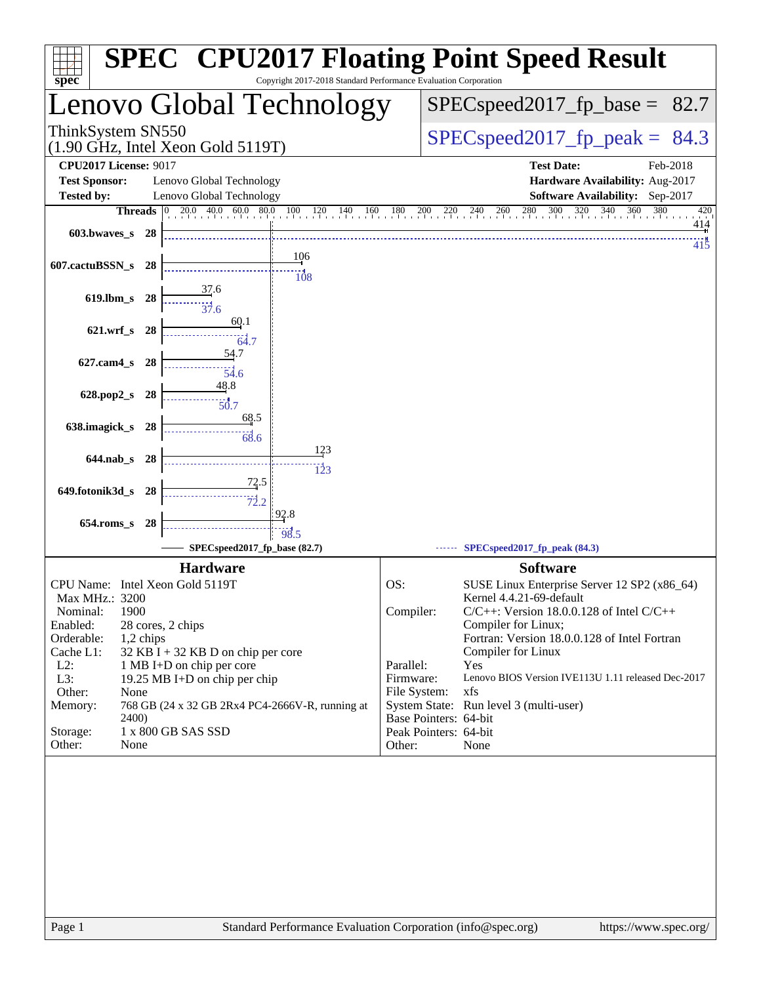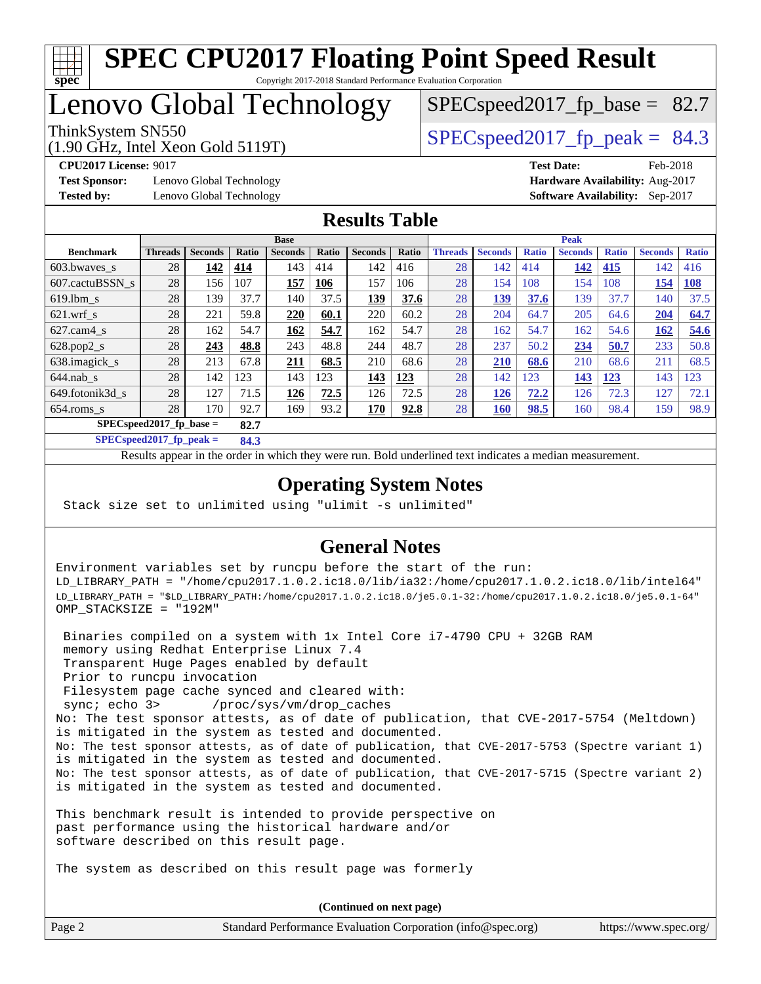

## Lenovo Global Technology

(1.90 GHz, Intel Xeon Gold 5119T)

ThinkSystem SN550  $SPEC speed2017$  fp\_peak = 84.3

 $SPECspeed2017<sub>fp</sub> base = 82.7$ 

**[Test Sponsor:](http://www.spec.org/auto/cpu2017/Docs/result-fields.html#TestSponsor)** Lenovo Global Technology **[Hardware Availability:](http://www.spec.org/auto/cpu2017/Docs/result-fields.html#HardwareAvailability)** Aug-2017

**[CPU2017 License:](http://www.spec.org/auto/cpu2017/Docs/result-fields.html#CPU2017License)** 9017 **[Test Date:](http://www.spec.org/auto/cpu2017/Docs/result-fields.html#TestDate)** Feb-2018 **[Tested by:](http://www.spec.org/auto/cpu2017/Docs/result-fields.html#Testedby)** Lenovo Global Technology **[Software Availability:](http://www.spec.org/auto/cpu2017/Docs/result-fields.html#SoftwareAvailability)** Sep-2017

### **[Results Table](http://www.spec.org/auto/cpu2017/Docs/result-fields.html#ResultsTable)**

|                                   | <b>Base</b>    |                |              |                |              |                | <b>Peak</b> |                |                |              |                |              |                |              |
|-----------------------------------|----------------|----------------|--------------|----------------|--------------|----------------|-------------|----------------|----------------|--------------|----------------|--------------|----------------|--------------|
| <b>Benchmark</b>                  | <b>Threads</b> | <b>Seconds</b> | <b>Ratio</b> | <b>Seconds</b> | <b>Ratio</b> | <b>Seconds</b> | Ratio       | <b>Threads</b> | <b>Seconds</b> | <b>Ratio</b> | <b>Seconds</b> | <b>Ratio</b> | <b>Seconds</b> | <b>Ratio</b> |
| 603.bwayes_s                      | 28             | 142            | 414          | 143            | 414          | 142            | 416         | 28             | 142            | 414          | 142            | 415          | 142            | 416          |
| 607.cactuBSSN s                   | 28             | 156            | 107          | 157            | 106          | 157            | 106         | 28             | 154            | 108          | 154            | 108          | 154            | <b>108</b>   |
| $619.1$ bm s                      | 28             | 139            | 37.7         | 140            | 37.5         | 139            | 37.6        | 28             | 139            | 37.6         | 139            | 37.7         | 140            | 37.5         |
| $621$ .wrf s                      | 28             | 221            | 59.8         | 220            | 60.1         | 220            | 60.2        | 28             | 204            | 64.7         | 205            | 64.6         | 204            | 64.7         |
| $627$ .cam $4 \text{ s}$          | 28             | 162            | 54.7         | 162            | 54.7         | 162            | 54.7        | 28             | 162            | 54.7         | 162            | 54.6         | 162            | 54.6         |
| $628.pop2_s$                      | 28             | 243            | 48.8         | 243            | 48.8         | 244            | 48.7        | 28             | 237            | 50.2         | 234            | 50.7         | 233            | 50.8         |
| 638.imagick_s                     | 28             | 213            | 67.8         | 211            | 68.5         | 210            | 68.6        | 28             | 210            | 68.6         | 210            | 68.6         | 211            | 68.5         |
| $644$ .nab s                      | 28             | 142            | 123          | 143            | 123          | 143            | 123         | 28             | 142            | 123          | 143            | 123          | 143            | 123          |
| 649.fotonik3d s                   | 28             | 127            | 71.5         | 126            | 72.5         | 126            | 72.5        | 28             | 126            | 72.2         | 126            | 72.3         | 127            | 72.1         |
| $654$ .roms s                     | 28             | 170            | 92.7         | 169            | 93.2         | 170            | 92.8        | 28             | 160            | 98.5         | 160            | 98.4         | 159            | 98.9         |
| $SPECspeed2017$ fp base =<br>82.7 |                |                |              |                |              |                |             |                |                |              |                |              |                |              |

**[SPECspeed2017\\_fp\\_peak =](http://www.spec.org/auto/cpu2017/Docs/result-fields.html#SPECspeed2017fppeak) 84.3**

Results appear in the [order in which they were run.](http://www.spec.org/auto/cpu2017/Docs/result-fields.html#RunOrder) Bold underlined text [indicates a median measurement](http://www.spec.org/auto/cpu2017/Docs/result-fields.html#Median).

### **[Operating System Notes](http://www.spec.org/auto/cpu2017/Docs/result-fields.html#OperatingSystemNotes)**

Stack size set to unlimited using "ulimit -s unlimited"

### **[General Notes](http://www.spec.org/auto/cpu2017/Docs/result-fields.html#GeneralNotes)**

Environment variables set by runcpu before the start of the run: LD\_LIBRARY\_PATH = "/home/cpu2017.1.0.2.ic18.0/lib/ia32:/home/cpu2017.1.0.2.ic18.0/lib/intel64" LD\_LIBRARY\_PATH = "\$LD\_LIBRARY\_PATH:/home/cpu2017.1.0.2.ic18.0/je5.0.1-32:/home/cpu2017.1.0.2.ic18.0/je5.0.1-64" OMP\_STACKSIZE = "192M"

 Binaries compiled on a system with 1x Intel Core i7-4790 CPU + 32GB RAM memory using Redhat Enterprise Linux 7.4 Transparent Huge Pages enabled by default Prior to runcpu invocation Filesystem page cache synced and cleared with: sync; echo 3> /proc/sys/vm/drop\_caches No: The test sponsor attests, as of date of publication, that CVE-2017-5754 (Meltdown) is mitigated in the system as tested and documented. No: The test sponsor attests, as of date of publication, that CVE-2017-5753 (Spectre variant 1) is mitigated in the system as tested and documented. No: The test sponsor attests, as of date of publication, that CVE-2017-5715 (Spectre variant 2) is mitigated in the system as tested and documented.

This benchmark result is intended to provide perspective on past performance using the historical hardware and/or software described on this result page.

The system as described on this result page was formerly

Page 2 Standard Performance Evaluation Corporation [\(info@spec.org\)](mailto:info@spec.org) <https://www.spec.org/> **(Continued on next page)**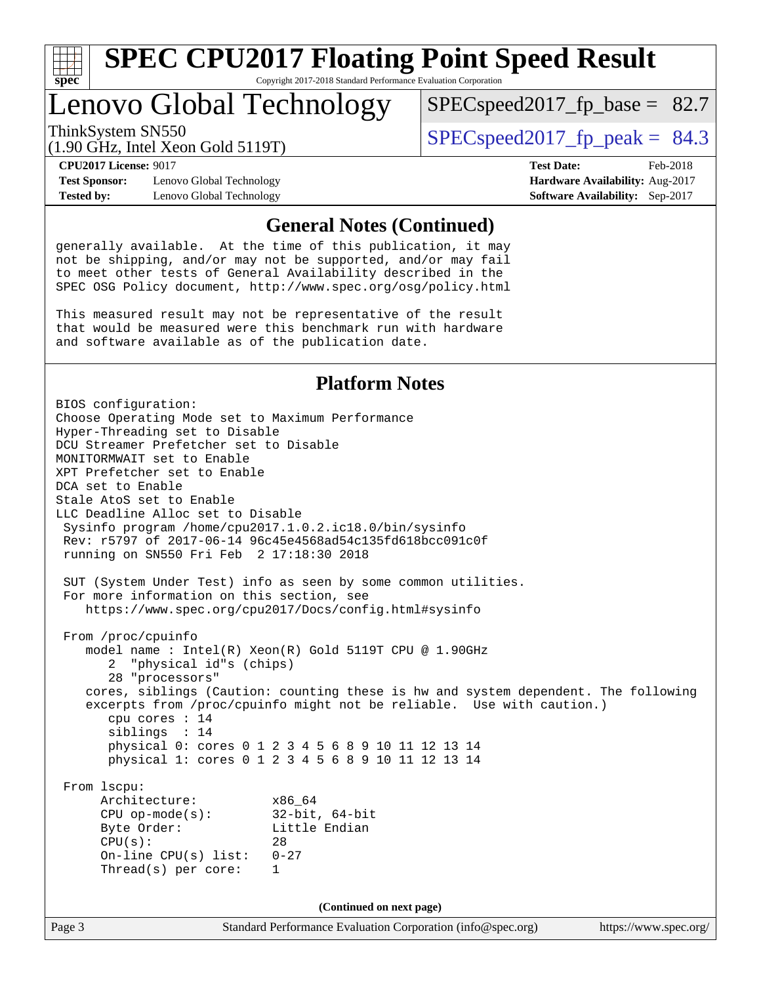

### Lenovo Global Technology

ThinkSystem SN550  $SPEC speed2017$  fp\_peak = 84.3  $SPECspeed2017<sub>fp</sub> base = 82.7$ 

(1.90 GHz, Intel Xeon Gold 5119T)

**[Test Sponsor:](http://www.spec.org/auto/cpu2017/Docs/result-fields.html#TestSponsor)** Lenovo Global Technology **[Hardware Availability:](http://www.spec.org/auto/cpu2017/Docs/result-fields.html#HardwareAvailability)** Aug-2017 **[Tested by:](http://www.spec.org/auto/cpu2017/Docs/result-fields.html#Testedby)** Lenovo Global Technology **[Software Availability:](http://www.spec.org/auto/cpu2017/Docs/result-fields.html#SoftwareAvailability)** Sep-2017

**[CPU2017 License:](http://www.spec.org/auto/cpu2017/Docs/result-fields.html#CPU2017License)** 9017 **[Test Date:](http://www.spec.org/auto/cpu2017/Docs/result-fields.html#TestDate)** Feb-2018

### **[General Notes \(Continued\)](http://www.spec.org/auto/cpu2017/Docs/result-fields.html#GeneralNotes)**

generally available. At the time of this publication, it may not be shipping, and/or may not be supported, and/or may fail to meet other tests of General Availability described in the SPEC OSG Policy document, <http://www.spec.org/osg/policy.html>

This measured result may not be representative of the result that would be measured were this benchmark run with hardware and software available as of the publication date.

### **[Platform Notes](http://www.spec.org/auto/cpu2017/Docs/result-fields.html#PlatformNotes)**

Page 3 Standard Performance Evaluation Corporation [\(info@spec.org\)](mailto:info@spec.org) <https://www.spec.org/> BIOS configuration: Choose Operating Mode set to Maximum Performance Hyper-Threading set to Disable DCU Streamer Prefetcher set to Disable MONITORMWAIT set to Enable XPT Prefetcher set to Enable DCA set to Enable Stale AtoS set to Enable LLC Deadline Alloc set to Disable Sysinfo program /home/cpu2017.1.0.2.ic18.0/bin/sysinfo Rev: r5797 of 2017-06-14 96c45e4568ad54c135fd618bcc091c0f running on SN550 Fri Feb 2 17:18:30 2018 SUT (System Under Test) info as seen by some common utilities. For more information on this section, see <https://www.spec.org/cpu2017/Docs/config.html#sysinfo> From /proc/cpuinfo model name : Intel(R) Xeon(R) Gold 5119T CPU @ 1.90GHz 2 "physical id"s (chips) 28 "processors" cores, siblings (Caution: counting these is hw and system dependent. The following excerpts from /proc/cpuinfo might not be reliable. Use with caution.) cpu cores : 14 siblings : 14 physical 0: cores 0 1 2 3 4 5 6 8 9 10 11 12 13 14 physical 1: cores 0 1 2 3 4 5 6 8 9 10 11 12 13 14 From lscpu: Architecture: x86\_64 CPU op-mode(s): 32-bit, 64-bit Byte Order: Little Endian  $CPU(s):$  28 On-line CPU(s) list: 0-27 Thread(s) per core: 1 **(Continued on next page)**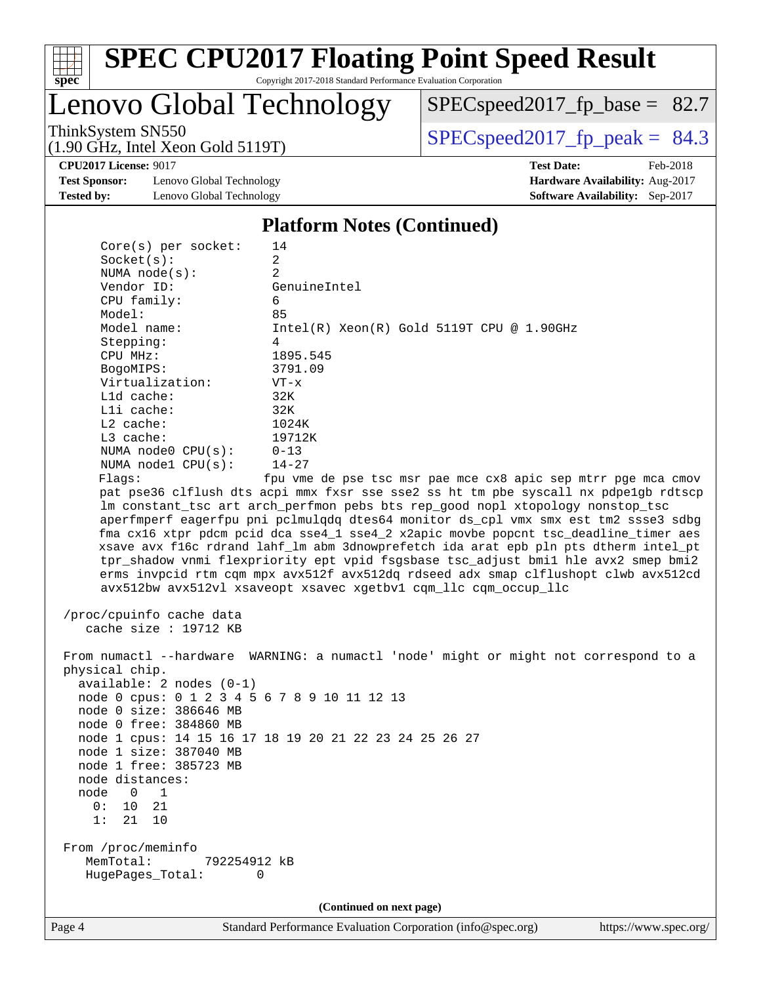

# **[SPEC CPU2017 Floating Point Speed Result](http://www.spec.org/auto/cpu2017/Docs/result-fields.html#SPECCPU2017FloatingPointSpeedResult)**

Copyright 2017-2018 Standard Performance Evaluation Corporation

Lenovo Global Technology

[SPECspeed2017\\_fp\\_base =](http://www.spec.org/auto/cpu2017/Docs/result-fields.html#SPECspeed2017fpbase) 82.7

(1.90 GHz, Intel Xeon Gold 5119T)

ThinkSystem SN550<br>(1.90 GHz, Intel Xeon Gold 5119T) [SPECspeed2017\\_fp\\_peak =](http://www.spec.org/auto/cpu2017/Docs/result-fields.html#SPECspeed2017fppeak)  $84.3$ 

**[CPU2017 License:](http://www.spec.org/auto/cpu2017/Docs/result-fields.html#CPU2017License)** 9017 **[Test Date:](http://www.spec.org/auto/cpu2017/Docs/result-fields.html#TestDate)** Feb-2018

**[Test Sponsor:](http://www.spec.org/auto/cpu2017/Docs/result-fields.html#TestSponsor)** Lenovo Global Technology **[Hardware Availability:](http://www.spec.org/auto/cpu2017/Docs/result-fields.html#HardwareAvailability)** Aug-2017 **[Tested by:](http://www.spec.org/auto/cpu2017/Docs/result-fields.html#Testedby)** Lenovo Global Technology **[Software Availability:](http://www.spec.org/auto/cpu2017/Docs/result-fields.html#SoftwareAvailability)** Sep-2017

#### **[Platform Notes \(Continued\)](http://www.spec.org/auto/cpu2017/Docs/result-fields.html#PlatformNotes)**

| node distances:<br>node<br>0<br>10<br>0:<br>21<br>1:<br>From /proc/meminfo<br>MemTotal: | node 1 free: 385723 MB<br>1<br>21<br>10<br>792254912 kB<br>HugePages_Total: | 0<br>(Continued on next page)                                                                                                                                                                                                                                                                                                                                                                                                                                                                                    |  |
|-----------------------------------------------------------------------------------------|-----------------------------------------------------------------------------|------------------------------------------------------------------------------------------------------------------------------------------------------------------------------------------------------------------------------------------------------------------------------------------------------------------------------------------------------------------------------------------------------------------------------------------------------------------------------------------------------------------|--|
|                                                                                         |                                                                             |                                                                                                                                                                                                                                                                                                                                                                                                                                                                                                                  |  |
|                                                                                         |                                                                             |                                                                                                                                                                                                                                                                                                                                                                                                                                                                                                                  |  |
|                                                                                         |                                                                             |                                                                                                                                                                                                                                                                                                                                                                                                                                                                                                                  |  |
|                                                                                         |                                                                             |                                                                                                                                                                                                                                                                                                                                                                                                                                                                                                                  |  |
|                                                                                         |                                                                             |                                                                                                                                                                                                                                                                                                                                                                                                                                                                                                                  |  |
|                                                                                         |                                                                             |                                                                                                                                                                                                                                                                                                                                                                                                                                                                                                                  |  |
|                                                                                         |                                                                             |                                                                                                                                                                                                                                                                                                                                                                                                                                                                                                                  |  |
|                                                                                         | node 1 size: 387040 MB                                                      |                                                                                                                                                                                                                                                                                                                                                                                                                                                                                                                  |  |
|                                                                                         |                                                                             | node 1 cpus: 14 15 16 17 18 19 20 21 22 23 24 25 26 27                                                                                                                                                                                                                                                                                                                                                                                                                                                           |  |
|                                                                                         | node 0 free: 384860 MB                                                      |                                                                                                                                                                                                                                                                                                                                                                                                                                                                                                                  |  |
|                                                                                         | node 0 size: 386646 MB                                                      |                                                                                                                                                                                                                                                                                                                                                                                                                                                                                                                  |  |
|                                                                                         |                                                                             | node 0 cpus: 0 1 2 3 4 5 6 7 8 9 10 11 12 13                                                                                                                                                                                                                                                                                                                                                                                                                                                                     |  |
|                                                                                         | $available: 2 nodes (0-1)$                                                  |                                                                                                                                                                                                                                                                                                                                                                                                                                                                                                                  |  |
| physical chip.                                                                          |                                                                             | From numactl --hardware WARNING: a numactl 'node' might or might not correspond to a                                                                                                                                                                                                                                                                                                                                                                                                                             |  |
|                                                                                         | cache size : 19712 KB                                                       |                                                                                                                                                                                                                                                                                                                                                                                                                                                                                                                  |  |
|                                                                                         | /proc/cpuinfo cache data                                                    |                                                                                                                                                                                                                                                                                                                                                                                                                                                                                                                  |  |
|                                                                                         |                                                                             | aperfmperf eagerfpu pni pclmulqdq dtes64 monitor ds_cpl vmx smx est tm2 ssse3 sdbg<br>fma cx16 xtpr pdcm pcid dca sse4_1 sse4_2 x2apic movbe popcnt tsc_deadline_timer aes<br>xsave avx f16c rdrand lahf_lm abm 3dnowprefetch ida arat epb pln pts dtherm intel_pt<br>tpr_shadow vnmi flexpriority ept vpid fsgsbase tsc_adjust bmil hle avx2 smep bmi2<br>erms invpcid rtm cqm mpx avx512f avx512dq rdseed adx smap clflushopt clwb avx512cd<br>avx512bw avx512vl xsaveopt xsavec xgetbvl cqm_llc cqm_occup_llc |  |
|                                                                                         |                                                                             | lm constant_tsc art arch_perfmon pebs bts rep_good nopl xtopology nonstop_tsc                                                                                                                                                                                                                                                                                                                                                                                                                                    |  |
|                                                                                         |                                                                             | pat pse36 clflush dts acpi mmx fxsr sse sse2 ss ht tm pbe syscall nx pdpelgb rdtscp                                                                                                                                                                                                                                                                                                                                                                                                                              |  |
| Flags:                                                                                  |                                                                             | fpu vme de pse tsc msr pae mce cx8 apic sep mtrr pge mca cmov                                                                                                                                                                                                                                                                                                                                                                                                                                                    |  |
|                                                                                         | NUMA nodel CPU(s):                                                          | $14 - 27$                                                                                                                                                                                                                                                                                                                                                                                                                                                                                                        |  |
|                                                                                         | NUMA node0 CPU(s):                                                          | $0 - 13$                                                                                                                                                                                                                                                                                                                                                                                                                                                                                                         |  |
| $L3$ cache:                                                                             |                                                                             | 19712K                                                                                                                                                                                                                                                                                                                                                                                                                                                                                                           |  |
| L2 cache:                                                                               |                                                                             | 1024K                                                                                                                                                                                                                                                                                                                                                                                                                                                                                                            |  |
| Lli cache:                                                                              |                                                                             | 32K<br>32K                                                                                                                                                                                                                                                                                                                                                                                                                                                                                                       |  |
| L1d cache:                                                                              | Virtualization:                                                             | $VT - x$                                                                                                                                                                                                                                                                                                                                                                                                                                                                                                         |  |
| BogoMIPS:                                                                               |                                                                             | 3791.09                                                                                                                                                                                                                                                                                                                                                                                                                                                                                                          |  |
| CPU MHz:                                                                                |                                                                             | 1895.545                                                                                                                                                                                                                                                                                                                                                                                                                                                                                                         |  |
| Stepping:                                                                               |                                                                             | 4                                                                                                                                                                                                                                                                                                                                                                                                                                                                                                                |  |
|                                                                                         | Model name:                                                                 | $Intel(R) Xeon(R) Gold 5119T CPU @ 1.90GHz$                                                                                                                                                                                                                                                                                                                                                                                                                                                                      |  |
| Model:                                                                                  |                                                                             | 85                                                                                                                                                                                                                                                                                                                                                                                                                                                                                                               |  |
|                                                                                         | CPU family:                                                                 | 6                                                                                                                                                                                                                                                                                                                                                                                                                                                                                                                |  |
|                                                                                         |                                                                             | GenuineIntel                                                                                                                                                                                                                                                                                                                                                                                                                                                                                                     |  |
| Vendor ID:                                                                              | NUMA $node(s)$ :                                                            | $\overline{2}$                                                                                                                                                                                                                                                                                                                                                                                                                                                                                                   |  |
|                                                                                         |                                                                             | $\overline{a}$                                                                                                                                                                                                                                                                                                                                                                                                                                                                                                   |  |
| Socket(s):                                                                              |                                                                             |                                                                                                                                                                                                                                                                                                                                                                                                                                                                                                                  |  |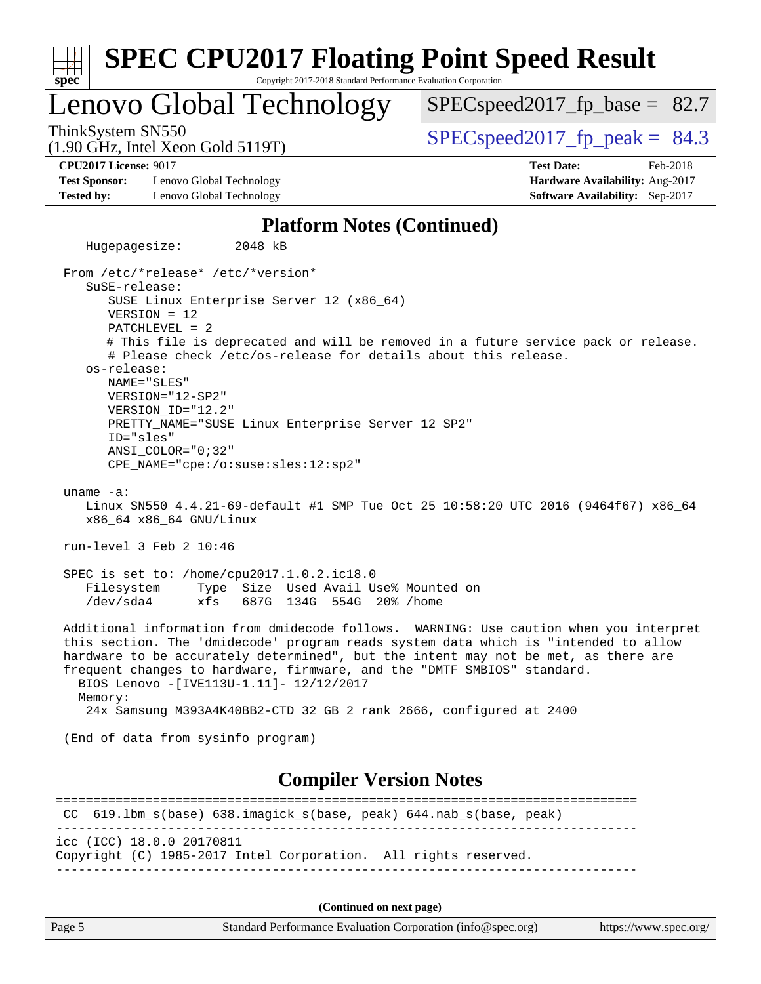| <b>SPEC CPU2017 Floating Point Speed Result</b>                                                                                                                                                                                                                                                                                                                                                                                                                                                                          |                                                                    |
|--------------------------------------------------------------------------------------------------------------------------------------------------------------------------------------------------------------------------------------------------------------------------------------------------------------------------------------------------------------------------------------------------------------------------------------------------------------------------------------------------------------------------|--------------------------------------------------------------------|
| Copyright 2017-2018 Standard Performance Evaluation Corporation<br>$spec^*$                                                                                                                                                                                                                                                                                                                                                                                                                                              |                                                                    |
| Lenovo Global Technology                                                                                                                                                                                                                                                                                                                                                                                                                                                                                                 | $SPEC speed2017_f p\_base = 82.7$                                  |
| ThinkSystem SN550<br>$(1.90 \text{ GHz}, \text{Intel Xeon Gold } 5119 \text{T})$                                                                                                                                                                                                                                                                                                                                                                                                                                         | $SPEC speed2017_fp\_peak = 84.3$                                   |
| <b>CPU2017 License: 9017</b>                                                                                                                                                                                                                                                                                                                                                                                                                                                                                             | <b>Test Date:</b><br>Feb-2018                                      |
| <b>Test Sponsor:</b><br>Lenovo Global Technology<br>Lenovo Global Technology<br><b>Tested by:</b>                                                                                                                                                                                                                                                                                                                                                                                                                        | Hardware Availability: Aug-2017<br>Software Availability: Sep-2017 |
| <b>Platform Notes (Continued)</b>                                                                                                                                                                                                                                                                                                                                                                                                                                                                                        |                                                                    |
| 2048 kB<br>Hugepagesize:                                                                                                                                                                                                                                                                                                                                                                                                                                                                                                 |                                                                    |
| From /etc/*release* /etc/*version*<br>SuSE-release:<br>SUSE Linux Enterprise Server 12 (x86_64)<br>$VERSION = 12$<br>$PATCHLEVEL = 2$<br># This file is deprecated and will be removed in a future service pack or release.<br># Please check /etc/os-release for details about this release.<br>os-release:<br>NAME="SLES"<br>VERSION="12-SP2"<br>VERSION_ID="12.2"<br>PRETTY_NAME="SUSE Linux Enterprise Server 12 SP2"<br>ID="sles"<br>$ANSI$ _COLOR=" $0:32$ "<br>CPE_NAME="cpe:/o:suse:sles:12:sp2"<br>uname $-a$ : |                                                                    |
| Linux SN550 4.4.21-69-default #1 SMP Tue Oct 25 10:58:20 UTC 2016 (9464f67) x86_64<br>x86_64 x86_64 GNU/Linux                                                                                                                                                                                                                                                                                                                                                                                                            |                                                                    |
| run-level 3 Feb 2 10:46                                                                                                                                                                                                                                                                                                                                                                                                                                                                                                  |                                                                    |
| SPEC is set to: /home/cpu2017.1.0.2.ic18.0<br>Type Size Used Avail Use% Mounted on<br>Filesystem<br>/dev/sda4<br>687G 134G 554G 20% / home<br>xfs                                                                                                                                                                                                                                                                                                                                                                        |                                                                    |
| Additional information from dmidecode follows. WARNING: Use caution when you interpret<br>this section. The 'dmidecode' program reads system data which is "intended to allow<br>hardware to be accurately determined", but the intent may not be met, as there are<br>frequent changes to hardware, firmware, and the "DMTF SMBIOS" standard.<br>BIOS Lenovo - [IVE113U-1.11]- 12/12/2017<br>Memory:<br>24x Samsung M393A4K40BB2-CTD 32 GB 2 rank 2666, configured at 2400                                              |                                                                    |
| (End of data from sysinfo program)                                                                                                                                                                                                                                                                                                                                                                                                                                                                                       |                                                                    |
| <b>Compiler Version Notes</b>                                                                                                                                                                                                                                                                                                                                                                                                                                                                                            |                                                                    |
| 619.1bm_s(base) 638.imagick_s(base, peak) 644.nab_s(base, peak)<br>CC.                                                                                                                                                                                                                                                                                                                                                                                                                                                   |                                                                    |
| icc (ICC) 18.0.0 20170811<br>Copyright (C) 1985-2017 Intel Corporation. All rights reserved.                                                                                                                                                                                                                                                                                                                                                                                                                             |                                                                    |
|                                                                                                                                                                                                                                                                                                                                                                                                                                                                                                                          |                                                                    |
| (Continued on next page)                                                                                                                                                                                                                                                                                                                                                                                                                                                                                                 |                                                                    |
| Standard Performance Evaluation Corporation (info@spec.org)<br>Page 5                                                                                                                                                                                                                                                                                                                                                                                                                                                    | https://www.spec.org/                                              |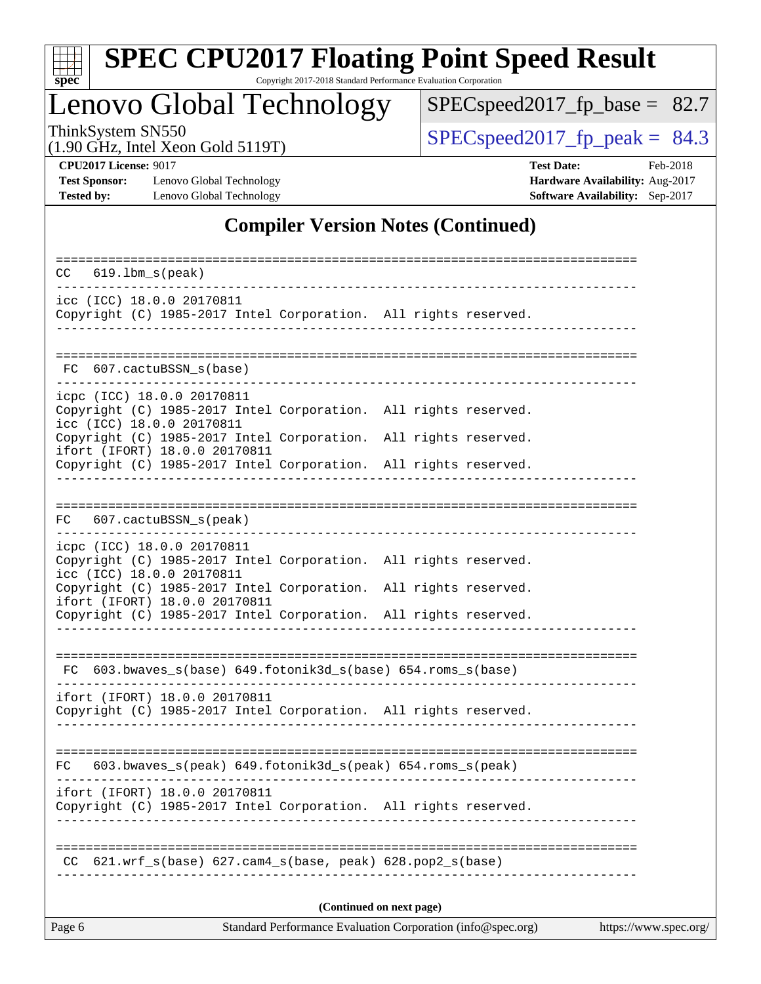

# **[SPEC CPU2017 Floating Point Speed Result](http://www.spec.org/auto/cpu2017/Docs/result-fields.html#SPECCPU2017FloatingPointSpeedResult)**

Copyright 2017-2018 Standard Performance Evaluation Corporation

# Lenovo Global Technology

[SPECspeed2017\\_fp\\_base =](http://www.spec.org/auto/cpu2017/Docs/result-fields.html#SPECspeed2017fpbase) 82.7

(1.90 GHz, Intel Xeon Gold 5119T)

ThinkSystem SN550<br>(1.90 GHz, Intel Xeon Gold 5119T) [SPECspeed2017\\_fp\\_peak =](http://www.spec.org/auto/cpu2017/Docs/result-fields.html#SPECspeed2017fppeak)  $84.3$ 

**[Tested by:](http://www.spec.org/auto/cpu2017/Docs/result-fields.html#Testedby)** Lenovo Global Technology **[Software Availability:](http://www.spec.org/auto/cpu2017/Docs/result-fields.html#SoftwareAvailability)** Sep-2017

**[CPU2017 License:](http://www.spec.org/auto/cpu2017/Docs/result-fields.html#CPU2017License)** 9017 **[Test Date:](http://www.spec.org/auto/cpu2017/Docs/result-fields.html#TestDate)** Feb-2018 **[Test Sponsor:](http://www.spec.org/auto/cpu2017/Docs/result-fields.html#TestSponsor)** Lenovo Global Technology **[Hardware Availability:](http://www.spec.org/auto/cpu2017/Docs/result-fields.html#HardwareAvailability)** Aug-2017

### **[Compiler Version Notes \(Continued\)](http://www.spec.org/auto/cpu2017/Docs/result-fields.html#CompilerVersionNotes)**

| $619.1$ bm_s(peak)<br>CC.                                                                                                                                           |  |  |  |  |  |  |
|---------------------------------------------------------------------------------------------------------------------------------------------------------------------|--|--|--|--|--|--|
| icc (ICC) 18.0.0 20170811<br>Copyright (C) 1985-2017 Intel Corporation. All rights reserved.                                                                        |  |  |  |  |  |  |
| FC 607.cactuBSSN_s(base)                                                                                                                                            |  |  |  |  |  |  |
| icpc (ICC) 18.0.0 20170811<br>Copyright (C) 1985-2017 Intel Corporation. All rights reserved.<br>icc (ICC) 18.0.0 20170811                                          |  |  |  |  |  |  |
| Copyright (C) 1985-2017 Intel Corporation. All rights reserved.<br>ifort (IFORT) 18.0.0 20170811<br>Copyright (C) 1985-2017 Intel Corporation. All rights reserved. |  |  |  |  |  |  |
|                                                                                                                                                                     |  |  |  |  |  |  |
| 607.cactuBSSN_s(peak)<br>FC                                                                                                                                         |  |  |  |  |  |  |
| icpc (ICC) 18.0.0 20170811<br>Copyright (C) 1985-2017 Intel Corporation. All rights reserved.<br>icc (ICC) 18.0.0 20170811                                          |  |  |  |  |  |  |
| Copyright (C) 1985-2017 Intel Corporation. All rights reserved.<br>ifort (IFORT) 18.0.0 20170811<br>Copyright (C) 1985-2017 Intel Corporation. All rights reserved. |  |  |  |  |  |  |
| $FC 603.bwaves_s(base) 649.fotonik3d_s(base) 654.roms_s(base)$                                                                                                      |  |  |  |  |  |  |
| ifort (IFORT) 18.0.0 20170811<br>Copyright (C) 1985-2017 Intel Corporation. All rights reserved.                                                                    |  |  |  |  |  |  |
| 603.bwaves_s(peak) 649.fotonik3d_s(peak) 654.roms_s(peak)                                                                                                           |  |  |  |  |  |  |
| FC<br>ifort (IFORT) 18.0.0 20170811<br>Copyright (C) 1985-2017 Intel Corporation. All rights reserved.                                                              |  |  |  |  |  |  |
| $621.wrf_s(base)$ $627.cam4_s(base, peak)$ $628.pop2_s(base)$<br>CC.                                                                                                |  |  |  |  |  |  |
| (Continued on next page)                                                                                                                                            |  |  |  |  |  |  |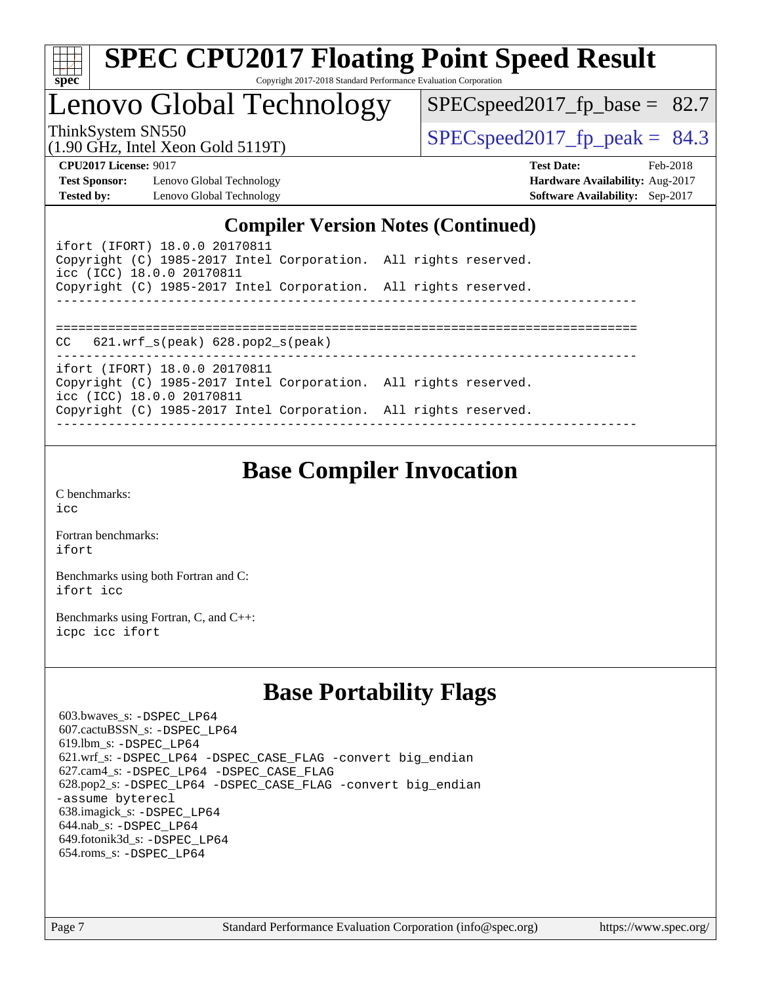| c<br>е |  |  |  |  |  |
|--------|--|--|--|--|--|

Lenovo Global Technology

 $SPECspeed2017_fp\_base = 82.7$ 

(1.90 GHz, Intel Xeon Gold 5119T)

ThinkSystem SN550<br>(1.90 GHz, Intel Year Gold 5119T)  $\begin{array}{r} | \text{SPECspeed2017\_fp\_peak} = 84.3 \end{array}$ 

**[Test Sponsor:](http://www.spec.org/auto/cpu2017/Docs/result-fields.html#TestSponsor)** Lenovo Global Technology **[Hardware Availability:](http://www.spec.org/auto/cpu2017/Docs/result-fields.html#HardwareAvailability)** Aug-2017 **[Tested by:](http://www.spec.org/auto/cpu2017/Docs/result-fields.html#Testedby)** Lenovo Global Technology **[Software Availability:](http://www.spec.org/auto/cpu2017/Docs/result-fields.html#SoftwareAvailability)** Sep-2017

**[CPU2017 License:](http://www.spec.org/auto/cpu2017/Docs/result-fields.html#CPU2017License)** 9017 **[Test Date:](http://www.spec.org/auto/cpu2017/Docs/result-fields.html#TestDate)** Feb-2018

### **[Compiler Version Notes \(Continued\)](http://www.spec.org/auto/cpu2017/Docs/result-fields.html#CompilerVersionNotes)**

| ifort (IFORT) 18.0.0 20170811<br>Copyright (C) 1985-2017 Intel Corporation. All rights reserved.<br>icc (ICC) 18.0.0 20170811 |  |
|-------------------------------------------------------------------------------------------------------------------------------|--|
| Copyright (C) 1985-2017 Intel Corporation. All rights reserved.                                                               |  |
|                                                                                                                               |  |
| $CC$ 621.wrf $s(\text{peak})$ 628.pop2 $s(\text{peak})$                                                                       |  |
| ifort (IFORT) 18.0.0 20170811                                                                                                 |  |
| Copyright (C) 1985-2017 Intel Corporation. All rights reserved.<br>icc (ICC) 18.0.0 20170811                                  |  |
| Copyright (C) 1985-2017 Intel Corporation. All rights reserved.                                                               |  |
|                                                                                                                               |  |

### **[Base Compiler Invocation](http://www.spec.org/auto/cpu2017/Docs/result-fields.html#BaseCompilerInvocation)**

[C benchmarks](http://www.spec.org/auto/cpu2017/Docs/result-fields.html#Cbenchmarks): [icc](http://www.spec.org/cpu2017/results/res2018q1/cpu2017-20180206-03396.flags.html#user_CCbase_intel_icc_18.0_66fc1ee009f7361af1fbd72ca7dcefbb700085f36577c54f309893dd4ec40d12360134090235512931783d35fd58c0460139e722d5067c5574d8eaf2b3e37e92)

[Fortran benchmarks](http://www.spec.org/auto/cpu2017/Docs/result-fields.html#Fortranbenchmarks): [ifort](http://www.spec.org/cpu2017/results/res2018q1/cpu2017-20180206-03396.flags.html#user_FCbase_intel_ifort_18.0_8111460550e3ca792625aed983ce982f94888b8b503583aa7ba2b8303487b4d8a21a13e7191a45c5fd58ff318f48f9492884d4413fa793fd88dd292cad7027ca)

[Benchmarks using both Fortran and C](http://www.spec.org/auto/cpu2017/Docs/result-fields.html#BenchmarksusingbothFortranandC): [ifort](http://www.spec.org/cpu2017/results/res2018q1/cpu2017-20180206-03396.flags.html#user_CC_FCbase_intel_ifort_18.0_8111460550e3ca792625aed983ce982f94888b8b503583aa7ba2b8303487b4d8a21a13e7191a45c5fd58ff318f48f9492884d4413fa793fd88dd292cad7027ca) [icc](http://www.spec.org/cpu2017/results/res2018q1/cpu2017-20180206-03396.flags.html#user_CC_FCbase_intel_icc_18.0_66fc1ee009f7361af1fbd72ca7dcefbb700085f36577c54f309893dd4ec40d12360134090235512931783d35fd58c0460139e722d5067c5574d8eaf2b3e37e92)

[Benchmarks using Fortran, C, and C++:](http://www.spec.org/auto/cpu2017/Docs/result-fields.html#BenchmarksusingFortranCandCXX) [icpc](http://www.spec.org/cpu2017/results/res2018q1/cpu2017-20180206-03396.flags.html#user_CC_CXX_FCbase_intel_icpc_18.0_c510b6838c7f56d33e37e94d029a35b4a7bccf4766a728ee175e80a419847e808290a9b78be685c44ab727ea267ec2f070ec5dc83b407c0218cded6866a35d07) [icc](http://www.spec.org/cpu2017/results/res2018q1/cpu2017-20180206-03396.flags.html#user_CC_CXX_FCbase_intel_icc_18.0_66fc1ee009f7361af1fbd72ca7dcefbb700085f36577c54f309893dd4ec40d12360134090235512931783d35fd58c0460139e722d5067c5574d8eaf2b3e37e92) [ifort](http://www.spec.org/cpu2017/results/res2018q1/cpu2017-20180206-03396.flags.html#user_CC_CXX_FCbase_intel_ifort_18.0_8111460550e3ca792625aed983ce982f94888b8b503583aa7ba2b8303487b4d8a21a13e7191a45c5fd58ff318f48f9492884d4413fa793fd88dd292cad7027ca)

### **[Base Portability Flags](http://www.spec.org/auto/cpu2017/Docs/result-fields.html#BasePortabilityFlags)**

 603.bwaves\_s: [-DSPEC\\_LP64](http://www.spec.org/cpu2017/results/res2018q1/cpu2017-20180206-03396.flags.html#suite_basePORTABILITY603_bwaves_s_DSPEC_LP64) 607.cactuBSSN\_s: [-DSPEC\\_LP64](http://www.spec.org/cpu2017/results/res2018q1/cpu2017-20180206-03396.flags.html#suite_basePORTABILITY607_cactuBSSN_s_DSPEC_LP64) 619.lbm\_s: [-DSPEC\\_LP64](http://www.spec.org/cpu2017/results/res2018q1/cpu2017-20180206-03396.flags.html#suite_basePORTABILITY619_lbm_s_DSPEC_LP64) 621.wrf\_s: [-DSPEC\\_LP64](http://www.spec.org/cpu2017/results/res2018q1/cpu2017-20180206-03396.flags.html#suite_basePORTABILITY621_wrf_s_DSPEC_LP64) [-DSPEC\\_CASE\\_FLAG](http://www.spec.org/cpu2017/results/res2018q1/cpu2017-20180206-03396.flags.html#b621.wrf_s_baseCPORTABILITY_DSPEC_CASE_FLAG) [-convert big\\_endian](http://www.spec.org/cpu2017/results/res2018q1/cpu2017-20180206-03396.flags.html#user_baseFPORTABILITY621_wrf_s_convert_big_endian_c3194028bc08c63ac5d04de18c48ce6d347e4e562e8892b8bdbdc0214820426deb8554edfa529a3fb25a586e65a3d812c835984020483e7e73212c4d31a38223) 627.cam4\_s: [-DSPEC\\_LP64](http://www.spec.org/cpu2017/results/res2018q1/cpu2017-20180206-03396.flags.html#suite_basePORTABILITY627_cam4_s_DSPEC_LP64) [-DSPEC\\_CASE\\_FLAG](http://www.spec.org/cpu2017/results/res2018q1/cpu2017-20180206-03396.flags.html#b627.cam4_s_baseCPORTABILITY_DSPEC_CASE_FLAG) 628.pop2\_s: [-DSPEC\\_LP64](http://www.spec.org/cpu2017/results/res2018q1/cpu2017-20180206-03396.flags.html#suite_basePORTABILITY628_pop2_s_DSPEC_LP64) [-DSPEC\\_CASE\\_FLAG](http://www.spec.org/cpu2017/results/res2018q1/cpu2017-20180206-03396.flags.html#b628.pop2_s_baseCPORTABILITY_DSPEC_CASE_FLAG) [-convert big\\_endian](http://www.spec.org/cpu2017/results/res2018q1/cpu2017-20180206-03396.flags.html#user_baseFPORTABILITY628_pop2_s_convert_big_endian_c3194028bc08c63ac5d04de18c48ce6d347e4e562e8892b8bdbdc0214820426deb8554edfa529a3fb25a586e65a3d812c835984020483e7e73212c4d31a38223) [-assume byterecl](http://www.spec.org/cpu2017/results/res2018q1/cpu2017-20180206-03396.flags.html#user_baseFPORTABILITY628_pop2_s_assume_byterecl_7e47d18b9513cf18525430bbf0f2177aa9bf368bc7a059c09b2c06a34b53bd3447c950d3f8d6c70e3faf3a05c8557d66a5798b567902e8849adc142926523472) 638.imagick\_s: [-DSPEC\\_LP64](http://www.spec.org/cpu2017/results/res2018q1/cpu2017-20180206-03396.flags.html#suite_basePORTABILITY638_imagick_s_DSPEC_LP64) 644.nab\_s: [-DSPEC\\_LP64](http://www.spec.org/cpu2017/results/res2018q1/cpu2017-20180206-03396.flags.html#suite_basePORTABILITY644_nab_s_DSPEC_LP64) 649.fotonik3d\_s: [-DSPEC\\_LP64](http://www.spec.org/cpu2017/results/res2018q1/cpu2017-20180206-03396.flags.html#suite_basePORTABILITY649_fotonik3d_s_DSPEC_LP64) 654.roms\_s: [-DSPEC\\_LP64](http://www.spec.org/cpu2017/results/res2018q1/cpu2017-20180206-03396.flags.html#suite_basePORTABILITY654_roms_s_DSPEC_LP64)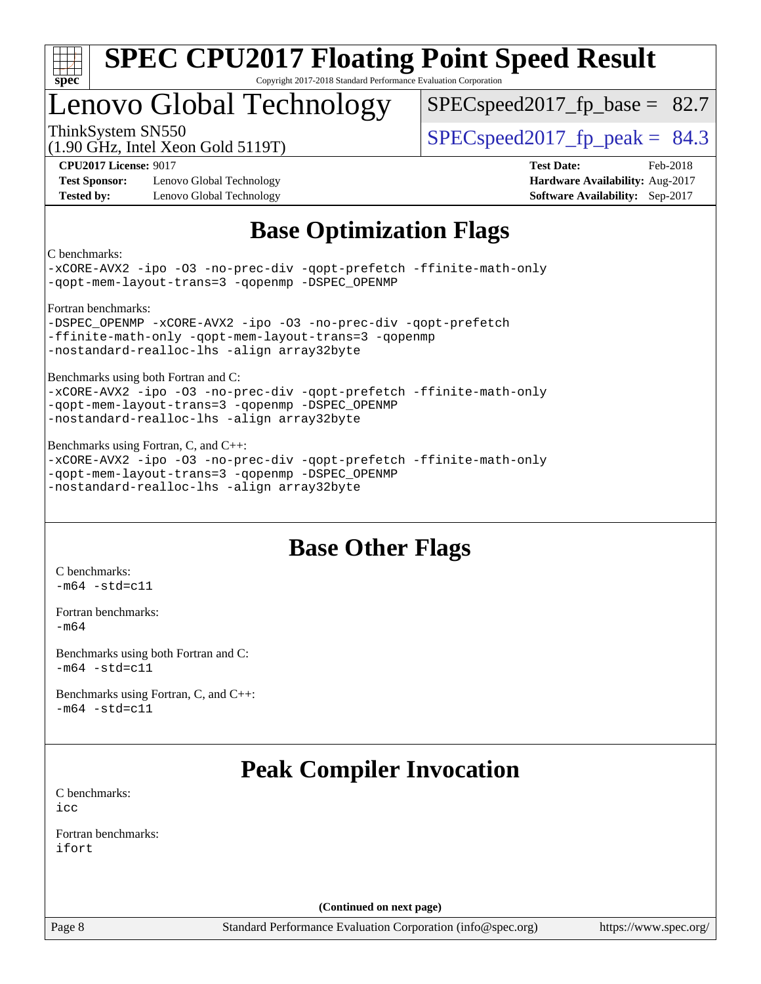

# Lenovo Global Technology

 $SPECspeed2017<sub>fp</sub> base = 82.7$ 

(1.90 GHz, Intel Xeon Gold 5119T)

ThinkSystem SN550<br>(1.00 CHz, Intel Year Cold 5110T)  $\begin{array}{r} | \text{SPECspeed2017\_fp\_peak} = 84.3 \end{array}$ 

**[Test Sponsor:](http://www.spec.org/auto/cpu2017/Docs/result-fields.html#TestSponsor)** Lenovo Global Technology **[Hardware Availability:](http://www.spec.org/auto/cpu2017/Docs/result-fields.html#HardwareAvailability)** Aug-2017 **[Tested by:](http://www.spec.org/auto/cpu2017/Docs/result-fields.html#Testedby)** Lenovo Global Technology **[Software Availability:](http://www.spec.org/auto/cpu2017/Docs/result-fields.html#SoftwareAvailability)** Sep-2017

**[CPU2017 License:](http://www.spec.org/auto/cpu2017/Docs/result-fields.html#CPU2017License)** 9017 **[Test Date:](http://www.spec.org/auto/cpu2017/Docs/result-fields.html#TestDate)** Feb-2018

### **[Base Optimization Flags](http://www.spec.org/auto/cpu2017/Docs/result-fields.html#BaseOptimizationFlags)**

[C benchmarks:](http://www.spec.org/auto/cpu2017/Docs/result-fields.html#Cbenchmarks)

[-xCORE-AVX2](http://www.spec.org/cpu2017/results/res2018q1/cpu2017-20180206-03396.flags.html#user_CCbase_f-xCORE-AVX2) [-ipo](http://www.spec.org/cpu2017/results/res2018q1/cpu2017-20180206-03396.flags.html#user_CCbase_f-ipo) [-O3](http://www.spec.org/cpu2017/results/res2018q1/cpu2017-20180206-03396.flags.html#user_CCbase_f-O3) [-no-prec-div](http://www.spec.org/cpu2017/results/res2018q1/cpu2017-20180206-03396.flags.html#user_CCbase_f-no-prec-div) [-qopt-prefetch](http://www.spec.org/cpu2017/results/res2018q1/cpu2017-20180206-03396.flags.html#user_CCbase_f-qopt-prefetch) [-ffinite-math-only](http://www.spec.org/cpu2017/results/res2018q1/cpu2017-20180206-03396.flags.html#user_CCbase_f_finite_math_only_cb91587bd2077682c4b38af759c288ed7c732db004271a9512da14a4f8007909a5f1427ecbf1a0fb78ff2a814402c6114ac565ca162485bbcae155b5e4258871) [-qopt-mem-layout-trans=3](http://www.spec.org/cpu2017/results/res2018q1/cpu2017-20180206-03396.flags.html#user_CCbase_f-qopt-mem-layout-trans_de80db37974c74b1f0e20d883f0b675c88c3b01e9d123adea9b28688d64333345fb62bc4a798493513fdb68f60282f9a726aa07f478b2f7113531aecce732043) [-qopenmp](http://www.spec.org/cpu2017/results/res2018q1/cpu2017-20180206-03396.flags.html#user_CCbase_qopenmp_16be0c44f24f464004c6784a7acb94aca937f053568ce72f94b139a11c7c168634a55f6653758ddd83bcf7b8463e8028bb0b48b77bcddc6b78d5d95bb1df2967) [-DSPEC\\_OPENMP](http://www.spec.org/cpu2017/results/res2018q1/cpu2017-20180206-03396.flags.html#suite_CCbase_DSPEC_OPENMP)

[Fortran benchmarks:](http://www.spec.org/auto/cpu2017/Docs/result-fields.html#Fortranbenchmarks)

[-DSPEC\\_OPENMP](http://www.spec.org/cpu2017/results/res2018q1/cpu2017-20180206-03396.flags.html#suite_FCbase_DSPEC_OPENMP) [-xCORE-AVX2](http://www.spec.org/cpu2017/results/res2018q1/cpu2017-20180206-03396.flags.html#user_FCbase_f-xCORE-AVX2) [-ipo](http://www.spec.org/cpu2017/results/res2018q1/cpu2017-20180206-03396.flags.html#user_FCbase_f-ipo) [-O3](http://www.spec.org/cpu2017/results/res2018q1/cpu2017-20180206-03396.flags.html#user_FCbase_f-O3) [-no-prec-div](http://www.spec.org/cpu2017/results/res2018q1/cpu2017-20180206-03396.flags.html#user_FCbase_f-no-prec-div) [-qopt-prefetch](http://www.spec.org/cpu2017/results/res2018q1/cpu2017-20180206-03396.flags.html#user_FCbase_f-qopt-prefetch) [-ffinite-math-only](http://www.spec.org/cpu2017/results/res2018q1/cpu2017-20180206-03396.flags.html#user_FCbase_f_finite_math_only_cb91587bd2077682c4b38af759c288ed7c732db004271a9512da14a4f8007909a5f1427ecbf1a0fb78ff2a814402c6114ac565ca162485bbcae155b5e4258871) [-qopt-mem-layout-trans=3](http://www.spec.org/cpu2017/results/res2018q1/cpu2017-20180206-03396.flags.html#user_FCbase_f-qopt-mem-layout-trans_de80db37974c74b1f0e20d883f0b675c88c3b01e9d123adea9b28688d64333345fb62bc4a798493513fdb68f60282f9a726aa07f478b2f7113531aecce732043) [-qopenmp](http://www.spec.org/cpu2017/results/res2018q1/cpu2017-20180206-03396.flags.html#user_FCbase_qopenmp_16be0c44f24f464004c6784a7acb94aca937f053568ce72f94b139a11c7c168634a55f6653758ddd83bcf7b8463e8028bb0b48b77bcddc6b78d5d95bb1df2967) [-nostandard-realloc-lhs](http://www.spec.org/cpu2017/results/res2018q1/cpu2017-20180206-03396.flags.html#user_FCbase_f_2003_std_realloc_82b4557e90729c0f113870c07e44d33d6f5a304b4f63d4c15d2d0f1fab99f5daaed73bdb9275d9ae411527f28b936061aa8b9c8f2d63842963b95c9dd6426b8a) [-align array32byte](http://www.spec.org/cpu2017/results/res2018q1/cpu2017-20180206-03396.flags.html#user_FCbase_align_array32byte_b982fe038af199962ba9a80c053b8342c548c85b40b8e86eb3cc33dee0d7986a4af373ac2d51c3f7cf710a18d62fdce2948f201cd044323541f22fc0fffc51b6)

[Benchmarks using both Fortran and C:](http://www.spec.org/auto/cpu2017/Docs/result-fields.html#BenchmarksusingbothFortranandC)

[-xCORE-AVX2](http://www.spec.org/cpu2017/results/res2018q1/cpu2017-20180206-03396.flags.html#user_CC_FCbase_f-xCORE-AVX2) [-ipo](http://www.spec.org/cpu2017/results/res2018q1/cpu2017-20180206-03396.flags.html#user_CC_FCbase_f-ipo) [-O3](http://www.spec.org/cpu2017/results/res2018q1/cpu2017-20180206-03396.flags.html#user_CC_FCbase_f-O3) [-no-prec-div](http://www.spec.org/cpu2017/results/res2018q1/cpu2017-20180206-03396.flags.html#user_CC_FCbase_f-no-prec-div) [-qopt-prefetch](http://www.spec.org/cpu2017/results/res2018q1/cpu2017-20180206-03396.flags.html#user_CC_FCbase_f-qopt-prefetch) [-ffinite-math-only](http://www.spec.org/cpu2017/results/res2018q1/cpu2017-20180206-03396.flags.html#user_CC_FCbase_f_finite_math_only_cb91587bd2077682c4b38af759c288ed7c732db004271a9512da14a4f8007909a5f1427ecbf1a0fb78ff2a814402c6114ac565ca162485bbcae155b5e4258871) [-qopt-mem-layout-trans=3](http://www.spec.org/cpu2017/results/res2018q1/cpu2017-20180206-03396.flags.html#user_CC_FCbase_f-qopt-mem-layout-trans_de80db37974c74b1f0e20d883f0b675c88c3b01e9d123adea9b28688d64333345fb62bc4a798493513fdb68f60282f9a726aa07f478b2f7113531aecce732043) [-qopenmp](http://www.spec.org/cpu2017/results/res2018q1/cpu2017-20180206-03396.flags.html#user_CC_FCbase_qopenmp_16be0c44f24f464004c6784a7acb94aca937f053568ce72f94b139a11c7c168634a55f6653758ddd83bcf7b8463e8028bb0b48b77bcddc6b78d5d95bb1df2967) [-DSPEC\\_OPENMP](http://www.spec.org/cpu2017/results/res2018q1/cpu2017-20180206-03396.flags.html#suite_CC_FCbase_DSPEC_OPENMP) [-nostandard-realloc-lhs](http://www.spec.org/cpu2017/results/res2018q1/cpu2017-20180206-03396.flags.html#user_CC_FCbase_f_2003_std_realloc_82b4557e90729c0f113870c07e44d33d6f5a304b4f63d4c15d2d0f1fab99f5daaed73bdb9275d9ae411527f28b936061aa8b9c8f2d63842963b95c9dd6426b8a) [-align array32byte](http://www.spec.org/cpu2017/results/res2018q1/cpu2017-20180206-03396.flags.html#user_CC_FCbase_align_array32byte_b982fe038af199962ba9a80c053b8342c548c85b40b8e86eb3cc33dee0d7986a4af373ac2d51c3f7cf710a18d62fdce2948f201cd044323541f22fc0fffc51b6)

[Benchmarks using Fortran, C, and C++:](http://www.spec.org/auto/cpu2017/Docs/result-fields.html#BenchmarksusingFortranCandCXX) [-xCORE-AVX2](http://www.spec.org/cpu2017/results/res2018q1/cpu2017-20180206-03396.flags.html#user_CC_CXX_FCbase_f-xCORE-AVX2) [-ipo](http://www.spec.org/cpu2017/results/res2018q1/cpu2017-20180206-03396.flags.html#user_CC_CXX_FCbase_f-ipo) [-O3](http://www.spec.org/cpu2017/results/res2018q1/cpu2017-20180206-03396.flags.html#user_CC_CXX_FCbase_f-O3) [-no-prec-div](http://www.spec.org/cpu2017/results/res2018q1/cpu2017-20180206-03396.flags.html#user_CC_CXX_FCbase_f-no-prec-div) [-qopt-prefetch](http://www.spec.org/cpu2017/results/res2018q1/cpu2017-20180206-03396.flags.html#user_CC_CXX_FCbase_f-qopt-prefetch) [-ffinite-math-only](http://www.spec.org/cpu2017/results/res2018q1/cpu2017-20180206-03396.flags.html#user_CC_CXX_FCbase_f_finite_math_only_cb91587bd2077682c4b38af759c288ed7c732db004271a9512da14a4f8007909a5f1427ecbf1a0fb78ff2a814402c6114ac565ca162485bbcae155b5e4258871) [-qopt-mem-layout-trans=3](http://www.spec.org/cpu2017/results/res2018q1/cpu2017-20180206-03396.flags.html#user_CC_CXX_FCbase_f-qopt-mem-layout-trans_de80db37974c74b1f0e20d883f0b675c88c3b01e9d123adea9b28688d64333345fb62bc4a798493513fdb68f60282f9a726aa07f478b2f7113531aecce732043) [-qopenmp](http://www.spec.org/cpu2017/results/res2018q1/cpu2017-20180206-03396.flags.html#user_CC_CXX_FCbase_qopenmp_16be0c44f24f464004c6784a7acb94aca937f053568ce72f94b139a11c7c168634a55f6653758ddd83bcf7b8463e8028bb0b48b77bcddc6b78d5d95bb1df2967) [-DSPEC\\_OPENMP](http://www.spec.org/cpu2017/results/res2018q1/cpu2017-20180206-03396.flags.html#suite_CC_CXX_FCbase_DSPEC_OPENMP) [-nostandard-realloc-lhs](http://www.spec.org/cpu2017/results/res2018q1/cpu2017-20180206-03396.flags.html#user_CC_CXX_FCbase_f_2003_std_realloc_82b4557e90729c0f113870c07e44d33d6f5a304b4f63d4c15d2d0f1fab99f5daaed73bdb9275d9ae411527f28b936061aa8b9c8f2d63842963b95c9dd6426b8a) [-align array32byte](http://www.spec.org/cpu2017/results/res2018q1/cpu2017-20180206-03396.flags.html#user_CC_CXX_FCbase_align_array32byte_b982fe038af199962ba9a80c053b8342c548c85b40b8e86eb3cc33dee0d7986a4af373ac2d51c3f7cf710a18d62fdce2948f201cd044323541f22fc0fffc51b6)

### **[Base Other Flags](http://www.spec.org/auto/cpu2017/Docs/result-fields.html#BaseOtherFlags)**

[C benchmarks](http://www.spec.org/auto/cpu2017/Docs/result-fields.html#Cbenchmarks):  $-m64 - std= c11$  $-m64 - std= c11$ 

[Fortran benchmarks](http://www.spec.org/auto/cpu2017/Docs/result-fields.html#Fortranbenchmarks): [-m64](http://www.spec.org/cpu2017/results/res2018q1/cpu2017-20180206-03396.flags.html#user_FCbase_intel_intel64_18.0_af43caccfc8ded86e7699f2159af6efc7655f51387b94da716254467f3c01020a5059329e2569e4053f409e7c9202a7efc638f7a6d1ffb3f52dea4a3e31d82ab)

[Benchmarks using both Fortran and C](http://www.spec.org/auto/cpu2017/Docs/result-fields.html#BenchmarksusingbothFortranandC):  $-m64$   $-std=cl1$ 

[Benchmarks using Fortran, C, and C++:](http://www.spec.org/auto/cpu2017/Docs/result-fields.html#BenchmarksusingFortranCandCXX)  $-m64 - std= c11$  $-m64 - std= c11$ 

### **[Peak Compiler Invocation](http://www.spec.org/auto/cpu2017/Docs/result-fields.html#PeakCompilerInvocation)**

[C benchmarks](http://www.spec.org/auto/cpu2017/Docs/result-fields.html#Cbenchmarks): [icc](http://www.spec.org/cpu2017/results/res2018q1/cpu2017-20180206-03396.flags.html#user_CCpeak_intel_icc_18.0_66fc1ee009f7361af1fbd72ca7dcefbb700085f36577c54f309893dd4ec40d12360134090235512931783d35fd58c0460139e722d5067c5574d8eaf2b3e37e92)

[Fortran benchmarks](http://www.spec.org/auto/cpu2017/Docs/result-fields.html#Fortranbenchmarks): [ifort](http://www.spec.org/cpu2017/results/res2018q1/cpu2017-20180206-03396.flags.html#user_FCpeak_intel_ifort_18.0_8111460550e3ca792625aed983ce982f94888b8b503583aa7ba2b8303487b4d8a21a13e7191a45c5fd58ff318f48f9492884d4413fa793fd88dd292cad7027ca)

**(Continued on next page)**

Page 8 Standard Performance Evaluation Corporation [\(info@spec.org\)](mailto:info@spec.org) <https://www.spec.org/>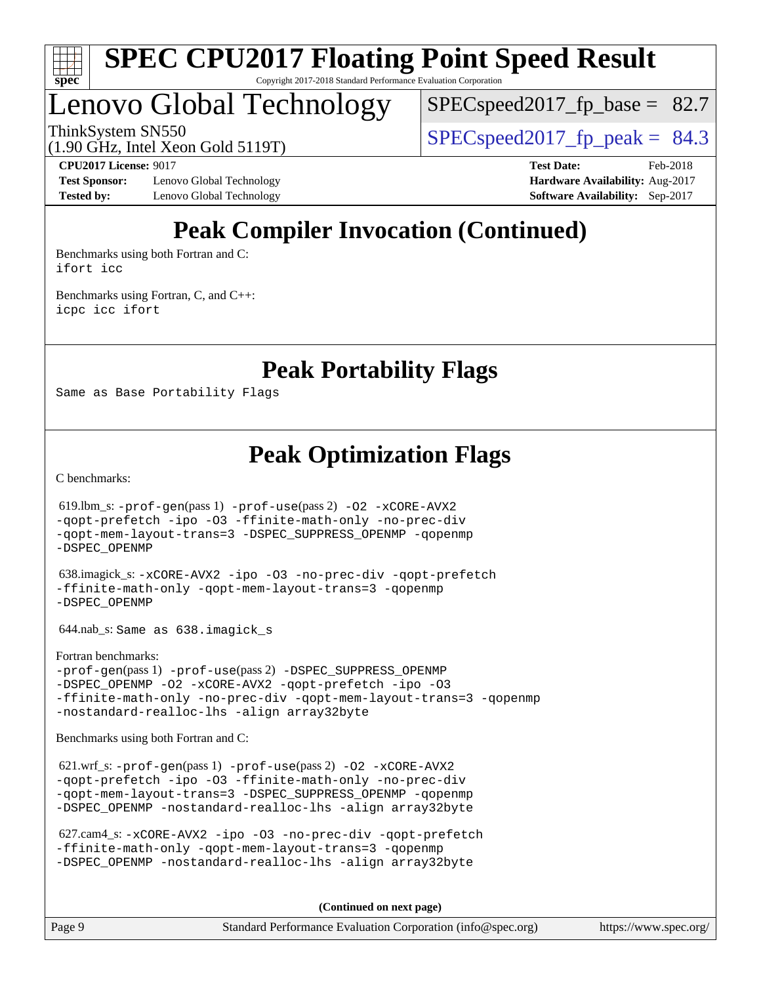

# Lenovo Global Technology

 $SPECspeed2017<sub>fp</sub> base = 82.7$ 

ThinkSystem SN550<br>(1.00 CHz, Intel Year Gold 5110T)  $\begin{array}{r} | \text{SPECspeed2017\_fp\_peak} = 84.3 \end{array}$ 

(1.90 GHz, Intel Xeon Gold 5119T)

**[Test Sponsor:](http://www.spec.org/auto/cpu2017/Docs/result-fields.html#TestSponsor)** Lenovo Global Technology **[Hardware Availability:](http://www.spec.org/auto/cpu2017/Docs/result-fields.html#HardwareAvailability)** Aug-2017 **[Tested by:](http://www.spec.org/auto/cpu2017/Docs/result-fields.html#Testedby)** Lenovo Global Technology **[Software Availability:](http://www.spec.org/auto/cpu2017/Docs/result-fields.html#SoftwareAvailability)** Sep-2017

**[CPU2017 License:](http://www.spec.org/auto/cpu2017/Docs/result-fields.html#CPU2017License)** 9017 **[Test Date:](http://www.spec.org/auto/cpu2017/Docs/result-fields.html#TestDate)** Feb-2018

## **[Peak Compiler Invocation \(Continued\)](http://www.spec.org/auto/cpu2017/Docs/result-fields.html#PeakCompilerInvocation)**

[Benchmarks using both Fortran and C](http://www.spec.org/auto/cpu2017/Docs/result-fields.html#BenchmarksusingbothFortranandC): [ifort](http://www.spec.org/cpu2017/results/res2018q1/cpu2017-20180206-03396.flags.html#user_CC_FCpeak_intel_ifort_18.0_8111460550e3ca792625aed983ce982f94888b8b503583aa7ba2b8303487b4d8a21a13e7191a45c5fd58ff318f48f9492884d4413fa793fd88dd292cad7027ca) [icc](http://www.spec.org/cpu2017/results/res2018q1/cpu2017-20180206-03396.flags.html#user_CC_FCpeak_intel_icc_18.0_66fc1ee009f7361af1fbd72ca7dcefbb700085f36577c54f309893dd4ec40d12360134090235512931783d35fd58c0460139e722d5067c5574d8eaf2b3e37e92)

[Benchmarks using Fortran, C, and C++:](http://www.spec.org/auto/cpu2017/Docs/result-fields.html#BenchmarksusingFortranCandCXX) [icpc](http://www.spec.org/cpu2017/results/res2018q1/cpu2017-20180206-03396.flags.html#user_CC_CXX_FCpeak_intel_icpc_18.0_c510b6838c7f56d33e37e94d029a35b4a7bccf4766a728ee175e80a419847e808290a9b78be685c44ab727ea267ec2f070ec5dc83b407c0218cded6866a35d07) [icc](http://www.spec.org/cpu2017/results/res2018q1/cpu2017-20180206-03396.flags.html#user_CC_CXX_FCpeak_intel_icc_18.0_66fc1ee009f7361af1fbd72ca7dcefbb700085f36577c54f309893dd4ec40d12360134090235512931783d35fd58c0460139e722d5067c5574d8eaf2b3e37e92) [ifort](http://www.spec.org/cpu2017/results/res2018q1/cpu2017-20180206-03396.flags.html#user_CC_CXX_FCpeak_intel_ifort_18.0_8111460550e3ca792625aed983ce982f94888b8b503583aa7ba2b8303487b4d8a21a13e7191a45c5fd58ff318f48f9492884d4413fa793fd88dd292cad7027ca)

**[Peak Portability Flags](http://www.spec.org/auto/cpu2017/Docs/result-fields.html#PeakPortabilityFlags)**

Same as Base Portability Flags

**[Peak Optimization Flags](http://www.spec.org/auto/cpu2017/Docs/result-fields.html#PeakOptimizationFlags)**

[C benchmarks](http://www.spec.org/auto/cpu2017/Docs/result-fields.html#Cbenchmarks):

 619.lbm\_s: [-prof-gen](http://www.spec.org/cpu2017/results/res2018q1/cpu2017-20180206-03396.flags.html#user_peakPASS1_CFLAGSPASS1_LDFLAGS619_lbm_s_prof_gen_5aa4926d6013ddb2a31985c654b3eb18169fc0c6952a63635c234f711e6e63dd76e94ad52365559451ec499a2cdb89e4dc58ba4c67ef54ca681ffbe1461d6b36)(pass 1) [-prof-use](http://www.spec.org/cpu2017/results/res2018q1/cpu2017-20180206-03396.flags.html#user_peakPASS2_CFLAGSPASS2_LDFLAGS619_lbm_s_prof_use_1a21ceae95f36a2b53c25747139a6c16ca95bd9def2a207b4f0849963b97e94f5260e30a0c64f4bb623698870e679ca08317ef8150905d41bd88c6f78df73f19)(pass 2) [-O2](http://www.spec.org/cpu2017/results/res2018q1/cpu2017-20180206-03396.flags.html#user_peakPASS1_COPTIMIZE619_lbm_s_f-O2) [-xCORE-AVX2](http://www.spec.org/cpu2017/results/res2018q1/cpu2017-20180206-03396.flags.html#user_peakPASS2_COPTIMIZE619_lbm_s_f-xCORE-AVX2) [-qopt-prefetch](http://www.spec.org/cpu2017/results/res2018q1/cpu2017-20180206-03396.flags.html#user_peakPASS1_COPTIMIZEPASS2_COPTIMIZE619_lbm_s_f-qopt-prefetch) [-ipo](http://www.spec.org/cpu2017/results/res2018q1/cpu2017-20180206-03396.flags.html#user_peakPASS2_COPTIMIZE619_lbm_s_f-ipo) [-O3](http://www.spec.org/cpu2017/results/res2018q1/cpu2017-20180206-03396.flags.html#user_peakPASS2_COPTIMIZE619_lbm_s_f-O3) [-ffinite-math-only](http://www.spec.org/cpu2017/results/res2018q1/cpu2017-20180206-03396.flags.html#user_peakPASS1_COPTIMIZEPASS2_COPTIMIZE619_lbm_s_f_finite_math_only_cb91587bd2077682c4b38af759c288ed7c732db004271a9512da14a4f8007909a5f1427ecbf1a0fb78ff2a814402c6114ac565ca162485bbcae155b5e4258871) [-no-prec-div](http://www.spec.org/cpu2017/results/res2018q1/cpu2017-20180206-03396.flags.html#user_peakPASS2_COPTIMIZE619_lbm_s_f-no-prec-div) [-qopt-mem-layout-trans=3](http://www.spec.org/cpu2017/results/res2018q1/cpu2017-20180206-03396.flags.html#user_peakPASS1_COPTIMIZEPASS2_COPTIMIZE619_lbm_s_f-qopt-mem-layout-trans_de80db37974c74b1f0e20d883f0b675c88c3b01e9d123adea9b28688d64333345fb62bc4a798493513fdb68f60282f9a726aa07f478b2f7113531aecce732043) [-DSPEC\\_SUPPRESS\\_OPENMP](http://www.spec.org/cpu2017/results/res2018q1/cpu2017-20180206-03396.flags.html#suite_peakPASS1_COPTIMIZE619_lbm_s_DSPEC_SUPPRESS_OPENMP) [-qopenmp](http://www.spec.org/cpu2017/results/res2018q1/cpu2017-20180206-03396.flags.html#user_peakPASS2_COPTIMIZE619_lbm_s_qopenmp_16be0c44f24f464004c6784a7acb94aca937f053568ce72f94b139a11c7c168634a55f6653758ddd83bcf7b8463e8028bb0b48b77bcddc6b78d5d95bb1df2967) [-DSPEC\\_OPENMP](http://www.spec.org/cpu2017/results/res2018q1/cpu2017-20180206-03396.flags.html#suite_peakPASS2_COPTIMIZE619_lbm_s_DSPEC_OPENMP) 638.imagick\_s: [-xCORE-AVX2](http://www.spec.org/cpu2017/results/res2018q1/cpu2017-20180206-03396.flags.html#user_peakCOPTIMIZE638_imagick_s_f-xCORE-AVX2) [-ipo](http://www.spec.org/cpu2017/results/res2018q1/cpu2017-20180206-03396.flags.html#user_peakCOPTIMIZE638_imagick_s_f-ipo) [-O3](http://www.spec.org/cpu2017/results/res2018q1/cpu2017-20180206-03396.flags.html#user_peakCOPTIMIZE638_imagick_s_f-O3) [-no-prec-div](http://www.spec.org/cpu2017/results/res2018q1/cpu2017-20180206-03396.flags.html#user_peakCOPTIMIZE638_imagick_s_f-no-prec-div) [-qopt-prefetch](http://www.spec.org/cpu2017/results/res2018q1/cpu2017-20180206-03396.flags.html#user_peakCOPTIMIZE638_imagick_s_f-qopt-prefetch) [-ffinite-math-only](http://www.spec.org/cpu2017/results/res2018q1/cpu2017-20180206-03396.flags.html#user_peakCOPTIMIZE638_imagick_s_f_finite_math_only_cb91587bd2077682c4b38af759c288ed7c732db004271a9512da14a4f8007909a5f1427ecbf1a0fb78ff2a814402c6114ac565ca162485bbcae155b5e4258871) [-qopt-mem-layout-trans=3](http://www.spec.org/cpu2017/results/res2018q1/cpu2017-20180206-03396.flags.html#user_peakCOPTIMIZE638_imagick_s_f-qopt-mem-layout-trans_de80db37974c74b1f0e20d883f0b675c88c3b01e9d123adea9b28688d64333345fb62bc4a798493513fdb68f60282f9a726aa07f478b2f7113531aecce732043) [-qopenmp](http://www.spec.org/cpu2017/results/res2018q1/cpu2017-20180206-03396.flags.html#user_peakCOPTIMIZE638_imagick_s_qopenmp_16be0c44f24f464004c6784a7acb94aca937f053568ce72f94b139a11c7c168634a55f6653758ddd83bcf7b8463e8028bb0b48b77bcddc6b78d5d95bb1df2967) [-DSPEC\\_OPENMP](http://www.spec.org/cpu2017/results/res2018q1/cpu2017-20180206-03396.flags.html#suite_peakCOPTIMIZE638_imagick_s_DSPEC_OPENMP) 644.nab\_s: Same as 638.imagick\_s [Fortran benchmarks](http://www.spec.org/auto/cpu2017/Docs/result-fields.html#Fortranbenchmarks): [-prof-gen](http://www.spec.org/cpu2017/results/res2018q1/cpu2017-20180206-03396.flags.html#user_FCpeak_prof_gen_5aa4926d6013ddb2a31985c654b3eb18169fc0c6952a63635c234f711e6e63dd76e94ad52365559451ec499a2cdb89e4dc58ba4c67ef54ca681ffbe1461d6b36)(pass 1) [-prof-use](http://www.spec.org/cpu2017/results/res2018q1/cpu2017-20180206-03396.flags.html#user_FCpeak_prof_use_1a21ceae95f36a2b53c25747139a6c16ca95bd9def2a207b4f0849963b97e94f5260e30a0c64f4bb623698870e679ca08317ef8150905d41bd88c6f78df73f19)(pass 2) [-DSPEC\\_SUPPRESS\\_OPENMP](http://www.spec.org/cpu2017/results/res2018q1/cpu2017-20180206-03396.flags.html#suite_FCpeak_DSPEC_SUPPRESS_OPENMP) [-DSPEC\\_OPENMP](http://www.spec.org/cpu2017/results/res2018q1/cpu2017-20180206-03396.flags.html#suite_FCpeak_DSPEC_OPENMP) [-O2](http://www.spec.org/cpu2017/results/res2018q1/cpu2017-20180206-03396.flags.html#user_FCpeak_f-O2) [-xCORE-AVX2](http://www.spec.org/cpu2017/results/res2018q1/cpu2017-20180206-03396.flags.html#user_FCpeak_f-xCORE-AVX2) [-qopt-prefetch](http://www.spec.org/cpu2017/results/res2018q1/cpu2017-20180206-03396.flags.html#user_FCpeak_f-qopt-prefetch) [-ipo](http://www.spec.org/cpu2017/results/res2018q1/cpu2017-20180206-03396.flags.html#user_FCpeak_f-ipo) [-O3](http://www.spec.org/cpu2017/results/res2018q1/cpu2017-20180206-03396.flags.html#user_FCpeak_f-O3) [-ffinite-math-only](http://www.spec.org/cpu2017/results/res2018q1/cpu2017-20180206-03396.flags.html#user_FCpeak_f_finite_math_only_cb91587bd2077682c4b38af759c288ed7c732db004271a9512da14a4f8007909a5f1427ecbf1a0fb78ff2a814402c6114ac565ca162485bbcae155b5e4258871) [-no-prec-div](http://www.spec.org/cpu2017/results/res2018q1/cpu2017-20180206-03396.flags.html#user_FCpeak_f-no-prec-div) [-qopt-mem-layout-trans=3](http://www.spec.org/cpu2017/results/res2018q1/cpu2017-20180206-03396.flags.html#user_FCpeak_f-qopt-mem-layout-trans_de80db37974c74b1f0e20d883f0b675c88c3b01e9d123adea9b28688d64333345fb62bc4a798493513fdb68f60282f9a726aa07f478b2f7113531aecce732043) [-qopenmp](http://www.spec.org/cpu2017/results/res2018q1/cpu2017-20180206-03396.flags.html#user_FCpeak_qopenmp_16be0c44f24f464004c6784a7acb94aca937f053568ce72f94b139a11c7c168634a55f6653758ddd83bcf7b8463e8028bb0b48b77bcddc6b78d5d95bb1df2967) [-nostandard-realloc-lhs](http://www.spec.org/cpu2017/results/res2018q1/cpu2017-20180206-03396.flags.html#user_FCpeak_f_2003_std_realloc_82b4557e90729c0f113870c07e44d33d6f5a304b4f63d4c15d2d0f1fab99f5daaed73bdb9275d9ae411527f28b936061aa8b9c8f2d63842963b95c9dd6426b8a) [-align array32byte](http://www.spec.org/cpu2017/results/res2018q1/cpu2017-20180206-03396.flags.html#user_FCpeak_align_array32byte_b982fe038af199962ba9a80c053b8342c548c85b40b8e86eb3cc33dee0d7986a4af373ac2d51c3f7cf710a18d62fdce2948f201cd044323541f22fc0fffc51b6) [Benchmarks using both Fortran and C](http://www.spec.org/auto/cpu2017/Docs/result-fields.html#BenchmarksusingbothFortranandC): 621.wrf\_s: [-prof-gen](http://www.spec.org/cpu2017/results/res2018q1/cpu2017-20180206-03396.flags.html#user_peakPASS1_CFLAGSPASS1_FFLAGSPASS1_LDFLAGS621_wrf_s_prof_gen_5aa4926d6013ddb2a31985c654b3eb18169fc0c6952a63635c234f711e6e63dd76e94ad52365559451ec499a2cdb89e4dc58ba4c67ef54ca681ffbe1461d6b36)(pass 1) [-prof-use](http://www.spec.org/cpu2017/results/res2018q1/cpu2017-20180206-03396.flags.html#user_peakPASS2_CFLAGSPASS2_FFLAGSPASS2_LDFLAGS621_wrf_s_prof_use_1a21ceae95f36a2b53c25747139a6c16ca95bd9def2a207b4f0849963b97e94f5260e30a0c64f4bb623698870e679ca08317ef8150905d41bd88c6f78df73f19)(pass 2) [-O2](http://www.spec.org/cpu2017/results/res2018q1/cpu2017-20180206-03396.flags.html#user_peakPASS1_COPTIMIZEPASS1_FOPTIMIZE621_wrf_s_f-O2) [-xCORE-AVX2](http://www.spec.org/cpu2017/results/res2018q1/cpu2017-20180206-03396.flags.html#user_peakPASS2_COPTIMIZEPASS2_FOPTIMIZE621_wrf_s_f-xCORE-AVX2) [-qopt-prefetch](http://www.spec.org/cpu2017/results/res2018q1/cpu2017-20180206-03396.flags.html#user_peakPASS1_COPTIMIZEPASS1_FOPTIMIZEPASS2_COPTIMIZEPASS2_FOPTIMIZE621_wrf_s_f-qopt-prefetch) [-ipo](http://www.spec.org/cpu2017/results/res2018q1/cpu2017-20180206-03396.flags.html#user_peakPASS2_COPTIMIZEPASS2_FOPTIMIZE621_wrf_s_f-ipo) [-O3](http://www.spec.org/cpu2017/results/res2018q1/cpu2017-20180206-03396.flags.html#user_peakPASS2_COPTIMIZEPASS2_FOPTIMIZE621_wrf_s_f-O3) [-ffinite-math-only](http://www.spec.org/cpu2017/results/res2018q1/cpu2017-20180206-03396.flags.html#user_peakPASS1_COPTIMIZEPASS1_FOPTIMIZEPASS2_COPTIMIZEPASS2_FOPTIMIZE621_wrf_s_f_finite_math_only_cb91587bd2077682c4b38af759c288ed7c732db004271a9512da14a4f8007909a5f1427ecbf1a0fb78ff2a814402c6114ac565ca162485bbcae155b5e4258871) [-no-prec-div](http://www.spec.org/cpu2017/results/res2018q1/cpu2017-20180206-03396.flags.html#user_peakPASS2_COPTIMIZEPASS2_FOPTIMIZE621_wrf_s_f-no-prec-div) [-qopt-mem-layout-trans=3](http://www.spec.org/cpu2017/results/res2018q1/cpu2017-20180206-03396.flags.html#user_peakPASS1_COPTIMIZEPASS1_FOPTIMIZEPASS2_COPTIMIZEPASS2_FOPTIMIZE621_wrf_s_f-qopt-mem-layout-trans_de80db37974c74b1f0e20d883f0b675c88c3b01e9d123adea9b28688d64333345fb62bc4a798493513fdb68f60282f9a726aa07f478b2f7113531aecce732043) [-DSPEC\\_SUPPRESS\\_OPENMP](http://www.spec.org/cpu2017/results/res2018q1/cpu2017-20180206-03396.flags.html#suite_peakPASS1_COPTIMIZEPASS1_FOPTIMIZE621_wrf_s_DSPEC_SUPPRESS_OPENMP) [-qopenmp](http://www.spec.org/cpu2017/results/res2018q1/cpu2017-20180206-03396.flags.html#user_peakPASS2_COPTIMIZEPASS2_FOPTIMIZE621_wrf_s_qopenmp_16be0c44f24f464004c6784a7acb94aca937f053568ce72f94b139a11c7c168634a55f6653758ddd83bcf7b8463e8028bb0b48b77bcddc6b78d5d95bb1df2967) [-DSPEC\\_OPENMP](http://www.spec.org/cpu2017/results/res2018q1/cpu2017-20180206-03396.flags.html#suite_peakPASS2_COPTIMIZEPASS2_FOPTIMIZE621_wrf_s_DSPEC_OPENMP) [-nostandard-realloc-lhs](http://www.spec.org/cpu2017/results/res2018q1/cpu2017-20180206-03396.flags.html#user_peakEXTRA_FOPTIMIZE621_wrf_s_f_2003_std_realloc_82b4557e90729c0f113870c07e44d33d6f5a304b4f63d4c15d2d0f1fab99f5daaed73bdb9275d9ae411527f28b936061aa8b9c8f2d63842963b95c9dd6426b8a) [-align array32byte](http://www.spec.org/cpu2017/results/res2018q1/cpu2017-20180206-03396.flags.html#user_peakEXTRA_FOPTIMIZE621_wrf_s_align_array32byte_b982fe038af199962ba9a80c053b8342c548c85b40b8e86eb3cc33dee0d7986a4af373ac2d51c3f7cf710a18d62fdce2948f201cd044323541f22fc0fffc51b6)

 627.cam4\_s: [-xCORE-AVX2](http://www.spec.org/cpu2017/results/res2018q1/cpu2017-20180206-03396.flags.html#user_peakCOPTIMIZEFOPTIMIZE627_cam4_s_f-xCORE-AVX2) [-ipo](http://www.spec.org/cpu2017/results/res2018q1/cpu2017-20180206-03396.flags.html#user_peakCOPTIMIZEFOPTIMIZE627_cam4_s_f-ipo) [-O3](http://www.spec.org/cpu2017/results/res2018q1/cpu2017-20180206-03396.flags.html#user_peakCOPTIMIZEFOPTIMIZE627_cam4_s_f-O3) [-no-prec-div](http://www.spec.org/cpu2017/results/res2018q1/cpu2017-20180206-03396.flags.html#user_peakCOPTIMIZEFOPTIMIZE627_cam4_s_f-no-prec-div) [-qopt-prefetch](http://www.spec.org/cpu2017/results/res2018q1/cpu2017-20180206-03396.flags.html#user_peakCOPTIMIZEFOPTIMIZE627_cam4_s_f-qopt-prefetch) [-ffinite-math-only](http://www.spec.org/cpu2017/results/res2018q1/cpu2017-20180206-03396.flags.html#user_peakCOPTIMIZEFOPTIMIZE627_cam4_s_f_finite_math_only_cb91587bd2077682c4b38af759c288ed7c732db004271a9512da14a4f8007909a5f1427ecbf1a0fb78ff2a814402c6114ac565ca162485bbcae155b5e4258871) [-qopt-mem-layout-trans=3](http://www.spec.org/cpu2017/results/res2018q1/cpu2017-20180206-03396.flags.html#user_peakCOPTIMIZEFOPTIMIZE627_cam4_s_f-qopt-mem-layout-trans_de80db37974c74b1f0e20d883f0b675c88c3b01e9d123adea9b28688d64333345fb62bc4a798493513fdb68f60282f9a726aa07f478b2f7113531aecce732043) [-qopenmp](http://www.spec.org/cpu2017/results/res2018q1/cpu2017-20180206-03396.flags.html#user_peakCOPTIMIZEFOPTIMIZE627_cam4_s_qopenmp_16be0c44f24f464004c6784a7acb94aca937f053568ce72f94b139a11c7c168634a55f6653758ddd83bcf7b8463e8028bb0b48b77bcddc6b78d5d95bb1df2967) [-DSPEC\\_OPENMP](http://www.spec.org/cpu2017/results/res2018q1/cpu2017-20180206-03396.flags.html#suite_peakCOPTIMIZEFOPTIMIZE627_cam4_s_DSPEC_OPENMP) [-nostandard-realloc-lhs](http://www.spec.org/cpu2017/results/res2018q1/cpu2017-20180206-03396.flags.html#user_peakEXTRA_FOPTIMIZE627_cam4_s_f_2003_std_realloc_82b4557e90729c0f113870c07e44d33d6f5a304b4f63d4c15d2d0f1fab99f5daaed73bdb9275d9ae411527f28b936061aa8b9c8f2d63842963b95c9dd6426b8a) [-align array32byte](http://www.spec.org/cpu2017/results/res2018q1/cpu2017-20180206-03396.flags.html#user_peakEXTRA_FOPTIMIZE627_cam4_s_align_array32byte_b982fe038af199962ba9a80c053b8342c548c85b40b8e86eb3cc33dee0d7986a4af373ac2d51c3f7cf710a18d62fdce2948f201cd044323541f22fc0fffc51b6)

**(Continued on next page)**